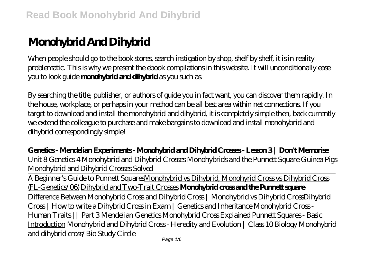# **Monohybrid And Dihybrid**

When people should go to the book stores, search instigation by shop, shelf by shelf, it is in reality problematic. This is why we present the ebook compilations in this website. It will unconditionally ease you to look guide **monohybrid and dihybrid** as you such as.

By searching the title, publisher, or authors of guide you in fact want, you can discover them rapidly. In the house, workplace, or perhaps in your method can be all best area within net connections. If you target to download and install the monohybrid and dihybrid, it is completely simple then, back currently we extend the colleague to purchase and make bargains to download and install monohybrid and dihybrid correspondingly simple!

**Genetics - Mendelian Experiments - Monohybrid and Dihybrid Crosses - Lesson 3 | Don't Memorise** Unit 8 Genetics 4 Monohybrid and Dihybrid Crosses Monohybrids and the Punnett Square Guinea Pigs Monohybrid and Dihybrid Crosses Solved

A Beginner's Guide to Punnett SquaresMonohybrid vs Dihybrid, Monohyrid Cross vs Dihybrid Cross (FL-Genetics/06) Dihybrid and Two-Trait Crosses **Monohybrid cross and the Punnett square** Difference Between Monohybrid Cross and Dihybrid Cross | Monohybrid vs Dihybrid Cross*Dihybrid Cross | How to write a Dihybrid Cross in Exam | Genetics and Inheritance* Monohybrid Cross - Human Traits || Part 3 Mendelian Genetics Monohybrid Cross Explained Punnett Squares - Basic Introduction Monohybrid and Dihybrid Cross - Heredity and Evolution | Class 10 Biology Monohybrid and dihybrid cross/Bio Study Circle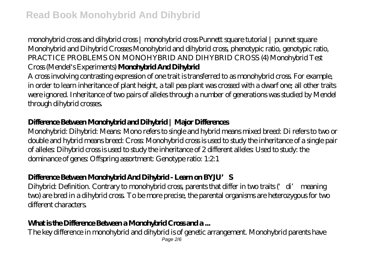## monohybrid cross and dihybrid cross | monohybrid cross Punnett square tutorial | punnet square Monohybrid and Dihybrid Crosses *Monohybrid and dihybrid cross, phenotypic ratio, genotypic ratio, PRACTICE PROBLEMS ON MONOHYBRID AND DIHYBRID CROSS (4) Monohybrid Test Cross (Mendel's Experiments)* **Monohybrid And Dihybrid**

A cross involving contrasting expression of one trait is transferred to as monohybrid cross. For example, in order to learn inheritance of plant height, a tall pea plant was crossed with a dwarf one; all other traits were ignored. Inheritance of two pairs of alleles through a number of generations was studied by Mendel through dihybrid crosses.

# **Difference Between Monohybrid and Dihybrid | Major Differences**

Monohybrid: Dihybrid: Means: Mono refers to single and hybrid means mixed breed: Di refers to two or double and hybrid means breed: Cross: Monohybrid cross is used to study the inheritance of a single pair of alleles: Dihybrid cross is used to study the inheritance of 2 different alleles: Used to study: the dominance of genes: Offspring assortment: Genotype ratio: 1:2:1

# **Difference Between Monohybrid And Dihybrid - Learn on BYJU'S**

Dihybrid: Definition. Contrary to monohybrid cross, parents that differ in two traits ('di' meaning two) are bred in a dihybrid cross. To be more precise, the parental organisms are heterozygous for two different characters.

# What is the Difference Between a Mondrybrid Cross and a...

The key difference in monohybrid and dihybrid is of genetic arrangement. Monohybrid parents have Page 2/6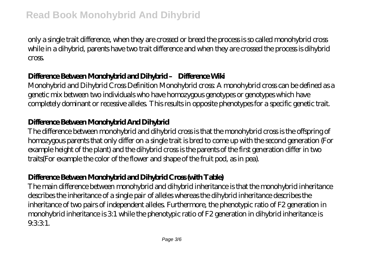only a single trait difference, when they are crossed or breed the process is so called monohybrid cross while in a dihybrid, parents have two trait difference and when they are crossed the process is dihybrid cross.

## **Difference Between Monohybrid and Dihybrid – Difference Wiki**

Monohybrid and Dihybrid Cross Definition Monohybrid cross: A monohybrid cross can be defined as a genetic mix between two individuals who have homozygous genotypes or genotypes which have completely dominant or recessive alleles. This results in opposite phenotypes for a specific genetic trait.

## **Difference Between Monohybrid And Dihybrid**

The difference between monohybrid and dihybrid cross is that the monohybrid cross is the offspring of homozygous parents that only differ on a single trait is bred to come up with the second generation (For example height of the plant) and the dihybrid cross is the parents of the first generation differ in two traits(For example the color of the flower and shape of the fruit pod, as in pea).

## **Difference Between Monohybrid and Dihybrid Cross (with Table)**

The main difference between monohybrid and dihybrid inheritance is that the monohybrid inheritance describes the inheritance of a single pair of alleles whereas the dihybrid inheritance describes the inheritance of two pairs of independent alleles. Furthermore, the phenotypic ratio of F2 generation in monohybrid inheritance is 3:1 while the phenotypic ratio of F2 generation in dihybrid inheritance is 9331.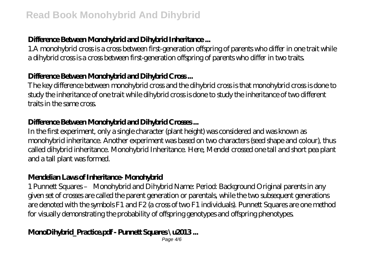## **Difference Between Monohybrid and Dihybrid Inheritance ...**

1.A monohybrid cross is a cross between first-generation offspring of parents who differ in one trait while a dihybrid cross is a cross between first-generation offspring of parents who differ in two traits.

#### **Difference Between Monohybrid and Dihybrid Cross ...**

The key difference between monohybrid cross and the dihybrid cross is that monohybrid cross is done to study the inheritance of one trait while dihybrid cross is done to study the inheritance of two different traits in the same cross.

#### **Difference Between Monohybrid and Dihybrid Crosses ...**

In the first experiment, only a single character (plant height) was considered and was known as monohybrid inheritance. Another experiment was based on two characters (seed shape and colour), thus called dihybrid inheritance. Monohybrid Inheritance. Here, Mendel crossed one tall and short pea plant and a tall plant was formed.

#### **Mendelian Laws of Inheritance- Monohybrid**

1 Punnett Squares – Monohybrid and Dihybrid Name: Period: Background Original parents in any given set of crosses are called the parent generation or parentals, while the two subsequent generations are denoted with the symbols F1 and F2 (a cross of two F1 individuals). Punnett Squares are one method for visually demonstrating the probability of offspring genotypes and offspring phenotypes.

## **MonDihybrid\_Practice.pdf - Punnett Squares \u2013...**

Page 4/6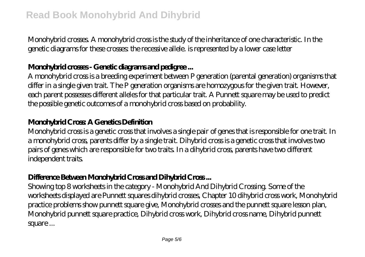Monohybrid crosses. A monohybrid cross is the study of the inheritance of one characteristic. In the genetic diagrams for these crosses the recessive allele. is represented by a lower case letter

## **Mondwhid cross-Genetic diagrams and pedigree...**

A monohybrid cross is a breeding experiment between P generation (parental generation) organisms that differ in a single given trait. The P generation organisms are homozygous for the given trait. However, each parent possesses different alleles for that particular trait. A Punnett square may be used to predict the possible genetic outcomes of a monohybrid cross based on probability.

## **Monohybrid Cross: A Genetics Definition**

Monohybrid cross is a genetic cross that involves a single pair of genes that is responsible for one trait. In a monohybrid cross, parents differ by a single trait. Dihybrid cross is a genetic cross that involves two pairs of genes which are responsible for two traits. In a dihybrid cross, parents have two different independent traits.

# **Difference Between Monohybrid Cross and Dihybrid Cross ...**

Showing top 8 worksheets in the category - Monohybrid And Dihybrid Crossing. Some of the worksheets displayed are Punnett squares dihybrid crosses, Chapter 10 dihybrid cross work, Monohybrid practice problems show punnett square give, Monohybrid crosses and the punnett square lesson plan, Monohybrid punnett square practice, Dihybrid cross work, Dihybrid cross name, Dihybrid punnett square ...